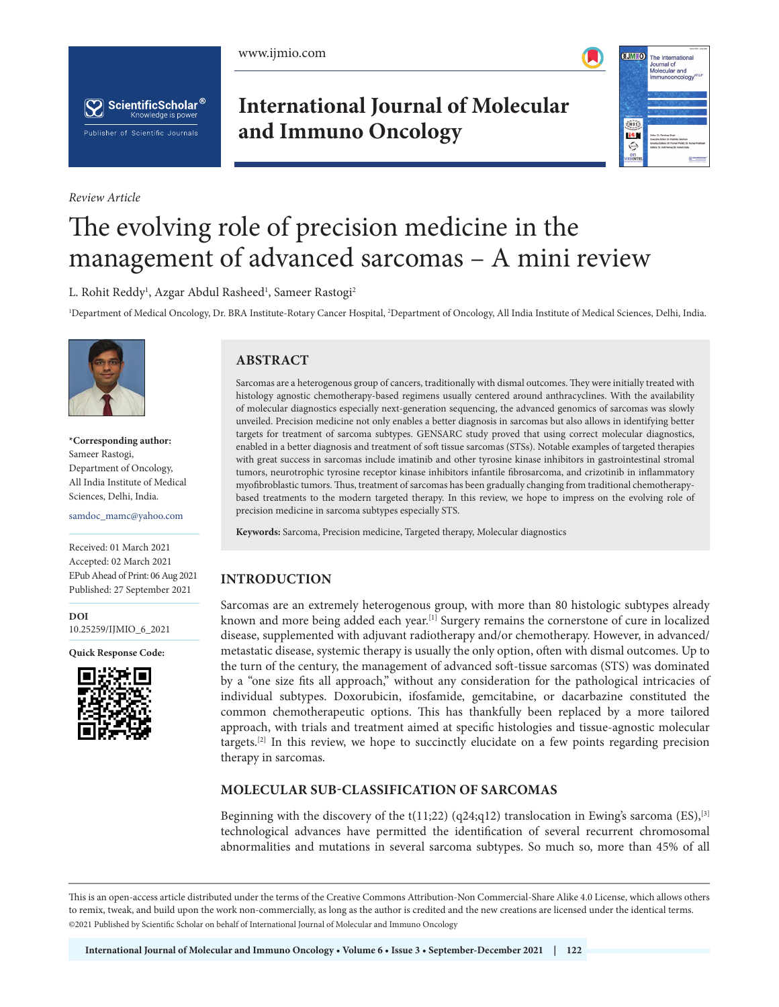





*Review Article*

# **International Journal of Molecular and Immuno Oncology**



# The evolving role of precision medicine in the management of advanced sarcomas – A mini review

L. Rohit Reddy<sup>1</sup>, Azgar Abdul Rasheed<sup>1</sup>, Sameer Rastogi<sup>2</sup>

<sup>1</sup>Department of Medical Oncology, Dr. BRA Institute-Rotary Cancer Hospital, <sup>2</sup>Department of Oncology, All India Institute of Medical Sciences, Delhi, India.



**\*Corresponding author:** Sameer Rastogi, Department of Oncology, All India Institute of Medical Sciences, Delhi, India.

samdoc\_mamc@yahoo.com

Received: 01 March 2021 Accepted: 02 March 2021 EPub Ahead of Print: 06 Aug 2021 Published: 27 September 2021

**DOI** [10.25259/IJMIO\\_6\\_2021](https://dx.doi.org/10.25259/IJMIO_6_2021)

**Quick Response Code:**



# **ABSTRACT**

Sarcomas are a heterogenous group of cancers, traditionally with dismal outcomes. They were initially treated with histology agnostic chemotherapy-based regimens usually centered around anthracyclines. With the availability of molecular diagnostics especially next-generation sequencing, the advanced genomics of sarcomas was slowly unveiled. Precision medicine not only enables a better diagnosis in sarcomas but also allows in identifying better targets for treatment of sarcoma subtypes. GENSARC study proved that using correct molecular diagnostics, enabled in a better diagnosis and treatment of soft tissue sarcomas (STSs). Notable examples of targeted therapies with great success in sarcomas include imatinib and other tyrosine kinase inhibitors in gastrointestinal stromal tumors, neurotrophic tyrosine receptor kinase inhibitors infantile fibrosarcoma, and crizotinib in inflammatory myofibroblastic tumors. Thus, treatment of sarcomas has been gradually changing from traditional chemotherapybased treatments to the modern targeted therapy. In this review, we hope to impress on the evolving role of precision medicine in sarcoma subtypes especially STS.

**Keywords:** Sarcoma, Precision medicine, Targeted therapy, Molecular diagnostics

#### **INTRODUCTION**

Sarcomas are an extremely heterogenous group, with more than 80 histologic subtypes already known and more being added each year.<sup>[1]</sup> Surgery remains the cornerstone of cure in localized disease, supplemented with adjuvant radiotherapy and/or chemotherapy. However, in advanced/ metastatic disease, systemic therapy is usually the only option, often with dismal outcomes. Up to the turn of the century, the management of advanced soft-tissue sarcomas (STS) was dominated by a "one size fits all approach," without any consideration for the pathological intricacies of individual subtypes. Doxorubicin, ifosfamide, gemcitabine, or dacarbazine constituted the common chemotherapeutic options. This has thankfully been replaced by a more tailored approach, with trials and treatment aimed at specific histologies and tissue-agnostic molecular targets.<sup>[2]</sup> In this review, we hope to succinctly elucidate on a few points regarding precision therapy in sarcomas.

# **MOLECULAR SUB-CLASSIFICATION OF SARCOMAS**

Beginning with the discovery of the t(11;22) (q24;q12) translocation in Ewing's sarcoma (ES),<sup>[3]</sup> technological advances have permitted the identification of several recurrent chromosomal abnormalities and mutations in several sarcoma subtypes. So much so, more than 45% of all

This is an open-access article distributed under the terms of the Creative Commons Attribution-Non Commercial-Share Alike 4.0 License, which allows others to remix, tweak, and build upon the work non-commercially, as long as the author is credited and the new creations are licensed under the identical terms. ©2021 Published by Scientific Scholar on behalf of International Journal of Molecular and Immuno Oncology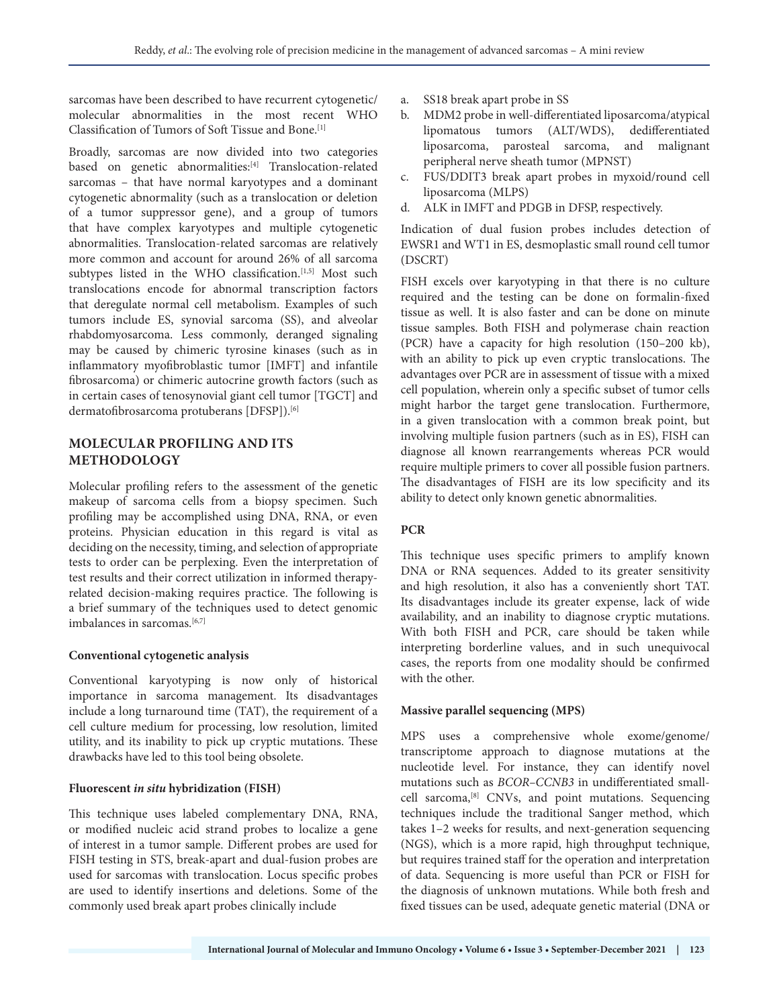sarcomas have been described to have recurrent cytogenetic/ molecular abnormalities in the most recent WHO Classification of Tumors of Soft Tissue and Bone.[1]

Broadly, sarcomas are now divided into two categories based on genetic abnormalities:[4] Translocation-related sarcomas – that have normal karyotypes and a dominant cytogenetic abnormality (such as a translocation or deletion of a tumor suppressor gene), and a group of tumors that have complex karyotypes and multiple cytogenetic abnormalities. Translocation-related sarcomas are relatively more common and account for around 26% of all sarcoma subtypes listed in the WHO classification.<sup>[1,5]</sup> Most such translocations encode for abnormal transcription factors that deregulate normal cell metabolism. Examples of such tumors include ES, synovial sarcoma (SS), and alveolar rhabdomyosarcoma. Less commonly, deranged signaling may be caused by chimeric tyrosine kinases (such as in inflammatory myofibroblastic tumor [IMFT] and infantile fibrosarcoma) or chimeric autocrine growth factors (such as in certain cases of tenosynovial giant cell tumor [TGCT] and dermatofibrosarcoma protuberans [DFSP]).<sup>[6]</sup>

### **MOLECULAR PROFILING AND ITS METHODOLOGY**

Molecular profiling refers to the assessment of the genetic makeup of sarcoma cells from a biopsy specimen. Such profiling may be accomplished using DNA, RNA, or even proteins. Physician education in this regard is vital as deciding on the necessity, timing, and selection of appropriate tests to order can be perplexing. Even the interpretation of test results and their correct utilization in informed therapyrelated decision-making requires practice. The following is a brief summary of the techniques used to detect genomic imbalances in sarcomas.<sup>[6,7]</sup>

#### **Conventional cytogenetic analysis**

Conventional karyotyping is now only of historical importance in sarcoma management. Its disadvantages include a long turnaround time (TAT), the requirement of a cell culture medium for processing, low resolution, limited utility, and its inability to pick up cryptic mutations. These drawbacks have led to this tool being obsolete.

#### **Fluorescent** *in situ* **hybridization (FISH)**

This technique uses labeled complementary DNA, RNA, or modified nucleic acid strand probes to localize a gene of interest in a tumor sample. Different probes are used for FISH testing in STS, break-apart and dual-fusion probes are used for sarcomas with translocation. Locus specific probes are used to identify insertions and deletions. Some of the commonly used break apart probes clinically include

- a. SS18 break apart probe in SS
- b. MDM2 probe in well-differentiated liposarcoma/atypical lipomatous tumors (ALT/WDS), dedifferentiated liposarcoma, parosteal sarcoma, and malignant peripheral nerve sheath tumor (MPNST)
- c. FUS/DDIT3 break apart probes in myxoid/round cell liposarcoma (MLPS)
- d. ALK in IMFT and PDGB in DFSP, respectively.

Indication of dual fusion probes includes detection of EWSR1 and WT1 in ES, desmoplastic small round cell tumor (DSCRT)

FISH excels over karyotyping in that there is no culture required and the testing can be done on formalin-fixed tissue as well. It is also faster and can be done on minute tissue samples. Both FISH and polymerase chain reaction (PCR) have a capacity for high resolution (150–200 kb), with an ability to pick up even cryptic translocations. The advantages over PCR are in assessment of tissue with a mixed cell population, wherein only a specific subset of tumor cells might harbor the target gene translocation. Furthermore, in a given translocation with a common break point, but involving multiple fusion partners (such as in ES), FISH can diagnose all known rearrangements whereas PCR would require multiple primers to cover all possible fusion partners. The disadvantages of FISH are its low specificity and its ability to detect only known genetic abnormalities.

#### **PCR**

This technique uses specific primers to amplify known DNA or RNA sequences. Added to its greater sensitivity and high resolution, it also has a conveniently short TAT. Its disadvantages include its greater expense, lack of wide availability, and an inability to diagnose cryptic mutations. With both FISH and PCR, care should be taken while interpreting borderline values, and in such unequivocal cases, the reports from one modality should be confirmed with the other.

#### **Massive parallel sequencing (MPS)**

MPS uses a comprehensive whole exome/genome/ transcriptome approach to diagnose mutations at the nucleotide level. For instance, they can identify novel mutations such as *BCOR–CCNB3* in undifferentiated smallcell sarcoma,[8] CNVs, and point mutations. Sequencing techniques include the traditional Sanger method, which takes 1–2 weeks for results, and next-generation sequencing (NGS), which is a more rapid, high throughput technique, but requires trained staff for the operation and interpretation of data. Sequencing is more useful than PCR or FISH for the diagnosis of unknown mutations. While both fresh and fixed tissues can be used, adequate genetic material (DNA or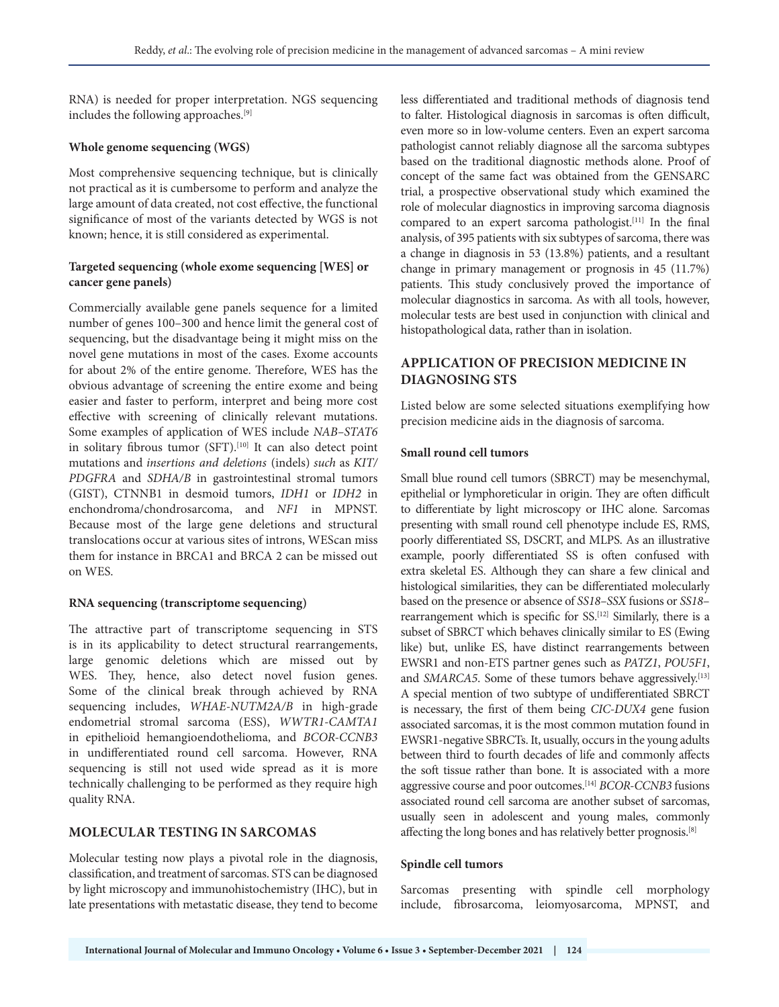RNA) is needed for proper interpretation. NGS sequencing includes the following approaches.[9]

#### **Whole genome sequencing (WGS)**

Most comprehensive sequencing technique, but is clinically not practical as it is cumbersome to perform and analyze the large amount of data created, not cost effective, the functional significance of most of the variants detected by WGS is not known; hence, it is still considered as experimental.

#### **Targeted sequencing (whole exome sequencing [WES] or cancer gene panels)**

Commercially available gene panels sequence for a limited number of genes 100–300 and hence limit the general cost of sequencing, but the disadvantage being it might miss on the novel gene mutations in most of the cases. Exome accounts for about 2% of the entire genome. Therefore, WES has the obvious advantage of screening the entire exome and being easier and faster to perform, interpret and being more cost effective with screening of clinically relevant mutations. Some examples of application of WES include *NAB–STAT6*  in solitary fibrous tumor (SFT).<sup>[10]</sup> It can also detect point mutations and *insertions and deletions* (indels) *such* as *KIT/ PDGFRA* and *SDHA/B* in gastrointestinal stromal tumors (GIST), CTNNB1 in desmoid tumors, *IDH1* or *IDH2* in enchondroma/chondrosarcoma, and *NF1* in MPNST. Because most of the large gene deletions and structural translocations occur at various sites of introns, WEScan miss them for instance in BRCA1 and BRCA 2 can be missed out on WES.

#### **RNA sequencing (transcriptome sequencing)**

The attractive part of transcriptome sequencing in STS is in its applicability to detect structural rearrangements, large genomic deletions which are missed out by WES. They, hence, also detect novel fusion genes. Some of the clinical break through achieved by RNA sequencing includes, *WHAE-NUTM2A/B* in high-grade endometrial stromal sarcoma (ESS), *WWTR1-CAMTA1* in epithelioid hemangioendothelioma, and *BCOR-CCNB3* in undifferentiated round cell sarcoma. However, RNA sequencing is still not used wide spread as it is more technically challenging to be performed as they require high quality RNA.

#### **MOLECULAR TESTING IN SARCOMAS**

Molecular testing now plays a pivotal role in the diagnosis, classification, and treatment of sarcomas. STS can be diagnosed by light microscopy and immunohistochemistry (IHC), but in late presentations with metastatic disease, they tend to become less differentiated and traditional methods of diagnosis tend to falter. Histological diagnosis in sarcomas is often difficult, even more so in low-volume centers. Even an expert sarcoma pathologist cannot reliably diagnose all the sarcoma subtypes based on the traditional diagnostic methods alone. Proof of concept of the same fact was obtained from the GENSARC trial, a prospective observational study which examined the role of molecular diagnostics in improving sarcoma diagnosis compared to an expert sarcoma pathologist.<sup>[11]</sup> In the final analysis, of 395 patients with six subtypes of sarcoma, there was a change in diagnosis in 53 (13.8%) patients, and a resultant change in primary management or prognosis in 45 (11.7%) patients. This study conclusively proved the importance of molecular diagnostics in sarcoma. As with all tools, however, molecular tests are best used in conjunction with clinical and histopathological data, rather than in isolation.

# **APPLICATION OF PRECISION MEDICINE IN DIAGNOSING STS**

Listed below are some selected situations exemplifying how precision medicine aids in the diagnosis of sarcoma.

#### **Small round cell tumors**

Small blue round cell tumors (SBRCT) may be mesenchymal, epithelial or lymphoreticular in origin. They are often difficult to differentiate by light microscopy or IHC alone. Sarcomas presenting with small round cell phenotype include ES, RMS, poorly differentiated SS, DSCRT, and MLPS. As an illustrative example, poorly differentiated SS is often confused with extra skeletal ES. Although they can share a few clinical and histological similarities, they can be differentiated molecularly based on the presence or absence of *SS18–SSX* fusions or *SS18*– rearrangement which is specific for SS.[12] Similarly, there is a subset of SBRCT which behaves clinically similar to ES (Ewing like) but, unlike ES, have distinct rearrangements between EWSR1 and non-ETS partner genes such as *PATZ1*, *POU5F1*, and *SMARCA5*. Some of these tumors behave aggressively.<sup>[13]</sup> A special mention of two subtype of undifferentiated SBRCT is necessary, the first of them being *CIC-DUX4* gene fusion associated sarcomas, it is the most common mutation found in EWSR1-negative SBRCTs. It, usually, occurs in the young adults between third to fourth decades of life and commonly affects the soft tissue rather than bone. It is associated with a more aggressive course and poor outcomes.[14] *BCOR-CCNB3* fusions associated round cell sarcoma are another subset of sarcomas, usually seen in adolescent and young males, commonly affecting the long bones and has relatively better prognosis.[8]

#### **Spindle cell tumors**

Sarcomas presenting with spindle cell morphology include, fibrosarcoma, leiomyosarcoma, MPNST, and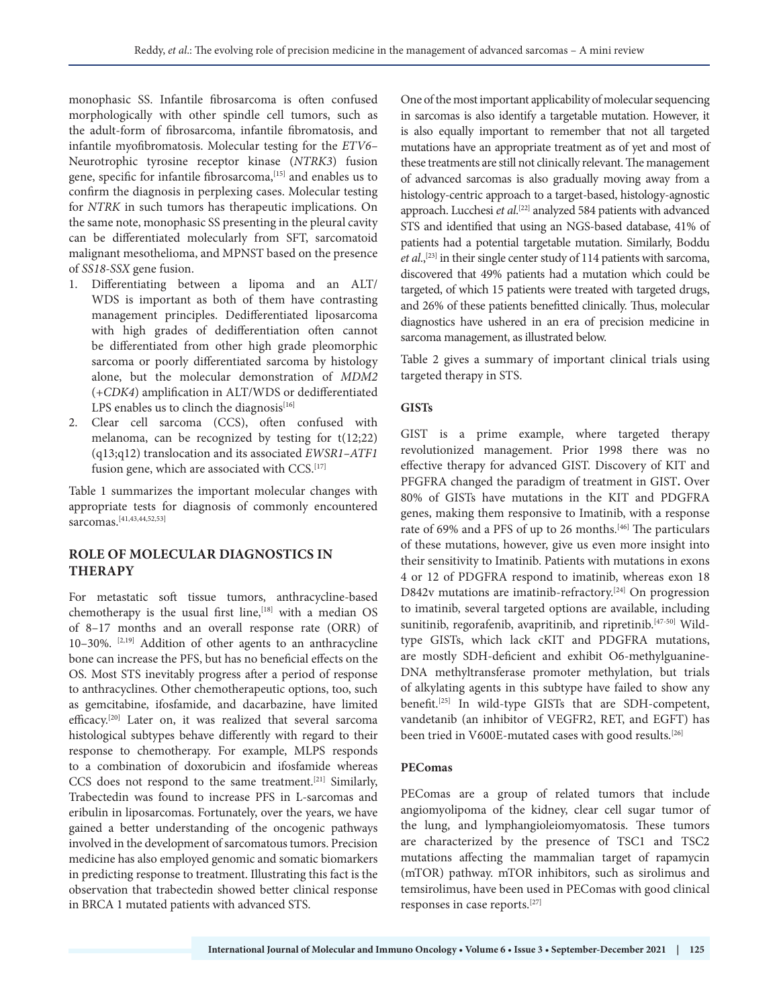monophasic SS. Infantile fibrosarcoma is often confused morphologically with other spindle cell tumors, such as the adult-form of fibrosarcoma, infantile fibromatosis, and infantile myofibromatosis. Molecular testing for the *ETV6–* Neurotrophic tyrosine receptor kinase (*NTRK3*) fusion gene, specific for infantile fibrosarcoma,<sup>[15]</sup> and enables us to confirm the diagnosis in perplexing cases. Molecular testing for *NTRK* in such tumors has therapeutic implications. On the same note, monophasic SS presenting in the pleural cavity can be differentiated molecularly from SFT, sarcomatoid malignant mesothelioma, and MPNST based on the presence of *SS18-SSX* gene fusion.

- 1. Differentiating between a lipoma and an ALT/ WDS is important as both of them have contrasting management principles. Dedifferentiated liposarcoma with high grades of dedifferentiation often cannot be differentiated from other high grade pleomorphic sarcoma or poorly differentiated sarcoma by histology alone, but the molecular demonstration of *MDM2* (+*CDK4*) amplification in ALT/WDS or dedifferentiated LPS enables us to clinch the diagnosis $[16]$
- 2. Clear cell sarcoma (CCS), often confused with melanoma, can be recognized by testing for t(12;22) (q13;q12) translocation and its associated *EWSR1–ATF1* fusion gene, which are associated with CCS.<sup>[17]</sup>

Table 1 summarizes the important molecular changes with appropriate tests for diagnosis of commonly encountered sarcomas.[41,43,44,52,53]

## **ROLE OF MOLECULAR DIAGNOSTICS IN THERAPY**

For metastatic soft tissue tumors, anthracycline-based chemotherapy is the usual first line, $[18]$  with a median OS of 8–17 months and an overall response rate (ORR) of 10-30%. <sup>[2,19]</sup> Addition of other agents to an anthracycline bone can increase the PFS, but has no beneficial effects on the OS. Most STS inevitably progress after a period of response to anthracyclines. Other chemotherapeutic options, too, such as gemcitabine, ifosfamide, and dacarbazine, have limited efficacy.[20] Later on, it was realized that several sarcoma histological subtypes behave differently with regard to their response to chemotherapy. For example, MLPS responds to a combination of doxorubicin and ifosfamide whereas CCS does not respond to the same treatment.[21] Similarly, Trabectedin was found to increase PFS in L-sarcomas and eribulin in liposarcomas. Fortunately, over the years, we have gained a better understanding of the oncogenic pathways involved in the development of sarcomatous tumors. Precision medicine has also employed genomic and somatic biomarkers in predicting response to treatment. Illustrating this fact is the observation that trabectedin showed better clinical response in BRCA 1 mutated patients with advanced STS.

One of the most important applicability of molecular sequencing in sarcomas is also identify a targetable mutation. However, it is also equally important to remember that not all targeted mutations have an appropriate treatment as of yet and most of these treatments are still not clinically relevant. The management of advanced sarcomas is also gradually moving away from a histology-centric approach to a target-based, histology-agnostic approach. Lucchesi *et al*. [22] analyzed 584 patients with advanced STS and identified that using an NGS-based database, 41% of patients had a potential targetable mutation. Similarly, Boddu et al.,<sup>[23]</sup> in their single center study of 114 patients with sarcoma, discovered that 49% patients had a mutation which could be targeted, of which 15 patients were treated with targeted drugs, and 26% of these patients benefitted clinically. Thus, molecular diagnostics have ushered in an era of precision medicine in sarcoma management, as illustrated below.

Table 2 gives a summary of important clinical trials using targeted therapy in STS.

#### **GISTs**

GIST is a prime example, where targeted therapy revolutionized management. Prior 1998 there was no effective therapy for advanced GIST. Discovery of KIT and PFGFRA changed the paradigm of treatment in GIST**.** Over 80% of GISTs have mutations in the KIT and PDGFRA genes, making them responsive to Imatinib, with a response rate of 69% and a PFS of up to 26 months.[46] The particulars of these mutations, however, give us even more insight into their sensitivity to Imatinib. Patients with mutations in exons 4 or 12 of PDGFRA respond to imatinib, whereas exon 18 D842v mutations are imatinib-refractory.<sup>[24]</sup> On progression to imatinib, several targeted options are available, including sunitinib, regorafenib, avapritinib, and ripretinib.[47-50] Wildtype GISTs, which lack cKIT and PDGFRA mutations, are mostly SDH-deficient and exhibit O6-methylguanine-DNA methyltransferase promoter methylation, but trials of alkylating agents in this subtype have failed to show any benefit.[25] In wild-type GISTs that are SDH-competent, vandetanib (an inhibitor of VEGFR2, RET, and EGFT) has been tried in V600E-mutated cases with good results.<sup>[26]</sup>

#### **PEComas**

PEComas are a group of related tumors that include angiomyolipoma of the kidney, clear cell sugar tumor of the lung, and lymphangioleiomyomatosis. These tumors are characterized by the presence of TSC1 and TSC2 mutations affecting the mammalian target of rapamycin (mTOR) pathway. mTOR inhibitors, such as sirolimus and temsirolimus, have been used in PEComas with good clinical responses in case reports.[27]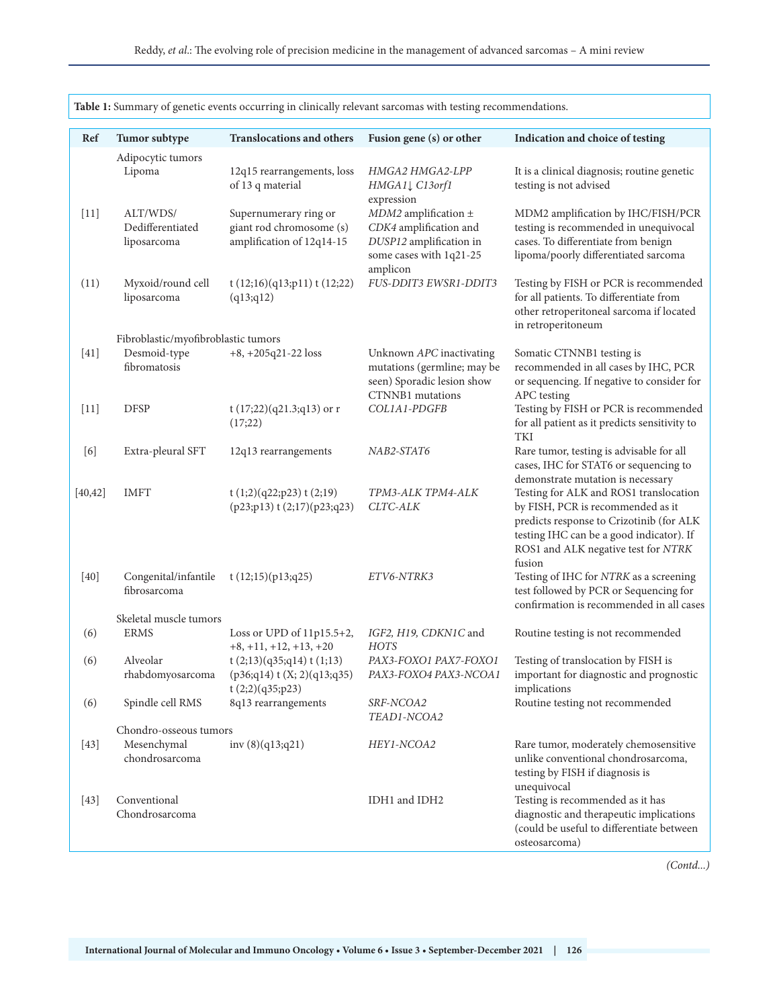| <b>Table 1:</b> Summary of genetic events occurring in clinically relevant sarcomas with testing recommendations. |                                                         |                                                                                |                                                                                                                                      |                                                                                                                                                                                                                      |  |  |  |  |  |
|-------------------------------------------------------------------------------------------------------------------|---------------------------------------------------------|--------------------------------------------------------------------------------|--------------------------------------------------------------------------------------------------------------------------------------|----------------------------------------------------------------------------------------------------------------------------------------------------------------------------------------------------------------------|--|--|--|--|--|
| Ref                                                                                                               | Tumor subtype                                           | Translocations and others                                                      | Fusion gene (s) or other                                                                                                             | Indication and choice of testing                                                                                                                                                                                     |  |  |  |  |  |
|                                                                                                                   | Adipocytic tumors<br>Lipoma                             | 12q15 rearrangements, loss<br>of 13 q material                                 | HMGA2 HMGA2-LPP<br>HMGA11 C13orf1                                                                                                    | It is a clinical diagnosis; routine genetic<br>testing is not advised                                                                                                                                                |  |  |  |  |  |
| $[11]$                                                                                                            | ALT/WDS/<br>Dedifferentiated<br>liposarcoma             | Supernumerary ring or<br>giant rod chromosome (s)<br>amplification of 12q14-15 | expression<br>$MDM2$ amplification $\pm$<br>CDK4 amplification and<br>DUSP12 amplification in<br>some cases with 1q21-25<br>amplicon | MDM2 amplification by IHC/FISH/PCR<br>testing is recommended in unequivocal<br>cases. To differentiate from benign<br>lipoma/poorly differentiated sarcoma                                                           |  |  |  |  |  |
| (11)                                                                                                              | Myxoid/round cell<br>liposarcoma                        | t(12;16)(q13;p11) t(12;22)<br>(q13; q12)                                       | FUS-DDIT3 EWSR1-DDIT3                                                                                                                | Testing by FISH or PCR is recommended<br>for all patients. To differentiate from<br>other retroperitoneal sarcoma if located<br>in retroperitoneum                                                                   |  |  |  |  |  |
|                                                                                                                   | Fibroblastic/myofibroblastic tumors                     |                                                                                |                                                                                                                                      |                                                                                                                                                                                                                      |  |  |  |  |  |
| $[41]$                                                                                                            | Desmoid-type<br>fibromatosis                            | $+8, +205q21-22$ loss                                                          | Unknown APC inactivating<br>mutations (germline; may be<br>seen) Sporadic lesion show<br><b>CTNNB1</b> mutations                     | Somatic CTNNB1 testing is<br>recommended in all cases by IHC, PCR<br>or sequencing. If negative to consider for<br>APC testing                                                                                       |  |  |  |  |  |
| $[11]$                                                                                                            | <b>DFSP</b>                                             | t $(17;22)(q21.3;q13)$ or r<br>(17;22)                                         | COL1A1-PDGFB                                                                                                                         | Testing by FISH or PCR is recommended<br>for all patient as it predicts sensitivity to<br>TKI                                                                                                                        |  |  |  |  |  |
| [6]                                                                                                               | Extra-pleural SFT                                       | 12q13 rearrangements                                                           | NAB2-STAT6                                                                                                                           | Rare tumor, testing is advisable for all<br>cases, IHC for STAT6 or sequencing to<br>demonstrate mutation is necessary                                                                                               |  |  |  |  |  |
| [40, 42]                                                                                                          | <b>IMFT</b>                                             | t(1;2)(q22;p23) t(2;19)<br>$(p23;p13)$ t $(2;17)(p23;q23)$                     | TPM3-ALK TPM4-ALK<br>CLTC-ALK                                                                                                        | Testing for ALK and ROS1 translocation<br>by FISH, PCR is recommended as it<br>predicts response to Crizotinib (for ALK<br>testing IHC can be a good indicator). If<br>ROS1 and ALK negative test for NTRK<br>fusion |  |  |  |  |  |
| $[40]$                                                                                                            | Congenital/infantile<br>fibrosarcoma                    | t(12;15)(p13;q25)                                                              | ETV6-NTRK3                                                                                                                           | Testing of IHC for NTRK as a screening<br>test followed by PCR or Sequencing for<br>confirmation is recommended in all cases                                                                                         |  |  |  |  |  |
| (6)                                                                                                               | Skeletal muscle tumors<br><b>ERMS</b>                   | Loss or UPD of $11p15.5+2$ ,<br>$+8, +11, +12, +13, +20$                       | IGF2, H19, CDKN1C and<br><b>HOTS</b>                                                                                                 | Routine testing is not recommended                                                                                                                                                                                   |  |  |  |  |  |
| (6)                                                                                                               | Alveolar<br>rhabdomyosarcoma                            | t(2;13)(q35;q14) t(1;13)<br>$(p36; q14)$ t (X; 2)(q13;q35)<br>t(2;2)(q35;p23)  | PAX3-FOXO1 PAX7-FOXO1<br>PAX3-FOXO4 PAX3-NCOA1                                                                                       | Testing of translocation by FISH is<br>important for diagnostic and prognostic<br>implications                                                                                                                       |  |  |  |  |  |
| (6)                                                                                                               | Spindle cell RMS                                        | 8q13 rearrangements                                                            | SRF-NCOA2<br>TEAD1-NCOA2                                                                                                             | Routine testing not recommended                                                                                                                                                                                      |  |  |  |  |  |
| $[43]$                                                                                                            | Chondro-osseous tumors<br>Mesenchymal<br>chondrosarcoma | inv $(8)(q13;q21)$                                                             | HEY1-NCOA2                                                                                                                           | Rare tumor, moderately chemosensitive<br>unlike conventional chondrosarcoma,<br>testing by FISH if diagnosis is<br>unequivocal                                                                                       |  |  |  |  |  |
| $[43]$                                                                                                            | Conventional<br>Chondrosarcoma                          |                                                                                | IDH1 and IDH2                                                                                                                        | Testing is recommended as it has<br>diagnostic and therapeutic implications<br>(could be useful to differentiate between<br>osteosarcoma)                                                                            |  |  |  |  |  |

**Table 1:** Summary of genetic events occurring in clinically relevant sarcomas with testing recommendations.

*(Contd...)*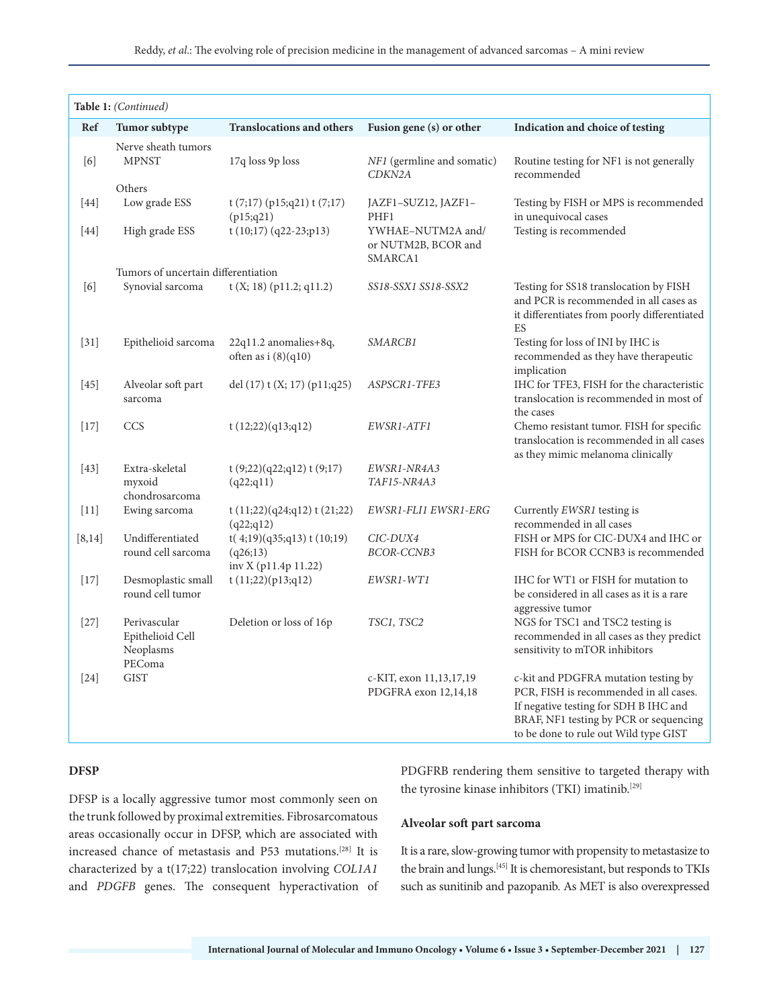| Table 1: (Continued)                                                                                                                                                                                                                                                                                                                                                     |                                                         |                                                               |                                                     |                                                                                                                                                                                                            |  |  |  |  |  |
|--------------------------------------------------------------------------------------------------------------------------------------------------------------------------------------------------------------------------------------------------------------------------------------------------------------------------------------------------------------------------|---------------------------------------------------------|---------------------------------------------------------------|-----------------------------------------------------|------------------------------------------------------------------------------------------------------------------------------------------------------------------------------------------------------------|--|--|--|--|--|
| Ref                                                                                                                                                                                                                                                                                                                                                                      | Tumor subtype                                           | <b>Translocations and others</b>                              | Fusion gene (s) or other                            | Indication and choice of testing                                                                                                                                                                           |  |  |  |  |  |
| $[6] \centering% \includegraphics[width=1.0\textwidth]{figs/fig_4.pdf} \caption{Schematic plot of the density $z$ for the $z$-axis. The solid lines represent the energy $\alpha$ values for the $z$-axis. The solid lines represent the energy $\alpha$ values for the $z$-axis. The solid lines represent the energy $\alpha$ values for the $z$-axis.} \label{fig:1}$ | Nerve sheath tumors<br><b>MPNST</b>                     | 17q loss 9p loss                                              | NF1 (germline and somatic)<br>CDKN2A                | Routine testing for NF1 is not generally<br>recommended                                                                                                                                                    |  |  |  |  |  |
|                                                                                                                                                                                                                                                                                                                                                                          | Others                                                  |                                                               |                                                     |                                                                                                                                                                                                            |  |  |  |  |  |
| $[44]$                                                                                                                                                                                                                                                                                                                                                                   | Low grade ESS                                           | $t(7;17)$ (p15;q21) $t(7;17)$<br>(p15; q21)                   | JAZF1-SUZ12, JAZF1-<br>PHF1                         | Testing by FISH or MPS is recommended<br>in unequivocal cases                                                                                                                                              |  |  |  |  |  |
| [44]                                                                                                                                                                                                                                                                                                                                                                     | High grade ESS                                          | t (10;17) (q22-23;p13)                                        | YWHAE-NUTM2A and/<br>or NUTM2B, BCOR and<br>SMARCA1 | Testing is recommended                                                                                                                                                                                     |  |  |  |  |  |
|                                                                                                                                                                                                                                                                                                                                                                          | Tumors of uncertain differentiation                     |                                                               |                                                     |                                                                                                                                                                                                            |  |  |  |  |  |
| [6]                                                                                                                                                                                                                                                                                                                                                                      | Synovial sarcoma                                        | $t(X; 18)$ (p11.2; q11.2)                                     | SS18-SSX1 SS18-SSX2                                 | Testing for SS18 translocation by FISH<br>and PCR is recommended in all cases as<br>it differentiates from poorly differentiated<br>ES                                                                     |  |  |  |  |  |
| $[31]$                                                                                                                                                                                                                                                                                                                                                                   | Epithelioid sarcoma                                     | 22q11.2 anomalies+8q,<br>often as i $(8)(q10)$                | SMARCB1                                             | Testing for loss of INI by IHC is<br>recommended as they have therapeutic<br>implication                                                                                                                   |  |  |  |  |  |
| $[45]$                                                                                                                                                                                                                                                                                                                                                                   | Alveolar soft part<br>sarcoma                           | del $(17)$ t $(X; 17)$ $(p11; q25)$                           | ASPSCR1-TFE3                                        | IHC for TFE3, FISH for the characteristic<br>translocation is recommended in most of<br>the cases                                                                                                          |  |  |  |  |  |
| $[17]$                                                                                                                                                                                                                                                                                                                                                                   | <b>CCS</b>                                              | t $(12;22)(q13;q12)$                                          | EWSR1-ATF1                                          | Chemo resistant tumor. FISH for specific<br>translocation is recommended in all cases<br>as they mimic melanoma clinically                                                                                 |  |  |  |  |  |
| $[43]$                                                                                                                                                                                                                                                                                                                                                                   | Extra-skeletal<br>myxoid<br>chondrosarcoma              | t $(9;22)(q22;q12)$ t $(9;17)$<br>(q22;q11)                   | EWSR1-NR4A3<br>TAF15-NR4A3                          |                                                                                                                                                                                                            |  |  |  |  |  |
| $[11]$                                                                                                                                                                                                                                                                                                                                                                   | Ewing sarcoma                                           | t(11;22)(q24;q12) t(21;22)<br>(q22;q12)                       | EWSR1-FLI1 EWSR1-ERG                                | Currently EWSR1 testing is<br>recommended in all cases                                                                                                                                                     |  |  |  |  |  |
| [8, 14]                                                                                                                                                                                                                                                                                                                                                                  | Undifferentiated<br>round cell sarcoma                  | t(4;19)(q35;q13) t(10;19)<br>(q26;13)<br>inv X (p11.4p 11.22) | CIC-DUX4<br>BCOR-CCNB3                              | FISH or MPS for CIC-DUX4 and IHC or<br>FISH for BCOR CCNB3 is recommended                                                                                                                                  |  |  |  |  |  |
| $[17]$                                                                                                                                                                                                                                                                                                                                                                   | Desmoplastic small<br>round cell tumor                  | t(11;22)(p13;q12)                                             | EWSR1-WT1                                           | IHC for WT1 or FISH for mutation to<br>be considered in all cases as it is a rare<br>aggressive tumor                                                                                                      |  |  |  |  |  |
| $[27]$                                                                                                                                                                                                                                                                                                                                                                   | Perivascular<br>Epithelioid Cell<br>Neoplasms<br>PEComa | Deletion or loss of 16p                                       | TSC1, TSC2                                          | NGS for TSC1 and TSC2 testing is<br>recommended in all cases as they predict<br>sensitivity to mTOR inhibitors                                                                                             |  |  |  |  |  |
| $[24]$                                                                                                                                                                                                                                                                                                                                                                   | <b>GIST</b>                                             |                                                               | c-KIT, exon 11,13,17,19<br>PDGFRA exon 12,14,18     | c-kit and PDGFRA mutation testing by<br>PCR, FISH is recommended in all cases.<br>If negative testing for SDH B IHC and<br>BRAF, NF1 testing by PCR or sequencing<br>to be done to rule out Wild type GIST |  |  |  |  |  |

#### **DFSP**

DFSP is a locally aggressive tumor most commonly seen on the trunk followed by proximal extremities. Fibrosarcomatous areas occasionally occur in DFSP, which are associated with increased chance of metastasis and P53 mutations.[28] It is characterized by a t(17;22) translocation involving *COL1A1* and *PDGFB* genes. The consequent hyperactivation of PDGFRB rendering them sensitive to targeted therapy with the tyrosine kinase inhibitors (TKI) imatinib.<sup>[29]</sup>

#### **Alveolar soft part sarcoma**

It is a rare, slow-growing tumor with propensity to metastasize to the brain and lungs.[45] It is chemoresistant, but responds to TKIs such as sunitinib and pazopanib. As MET is also overexpressed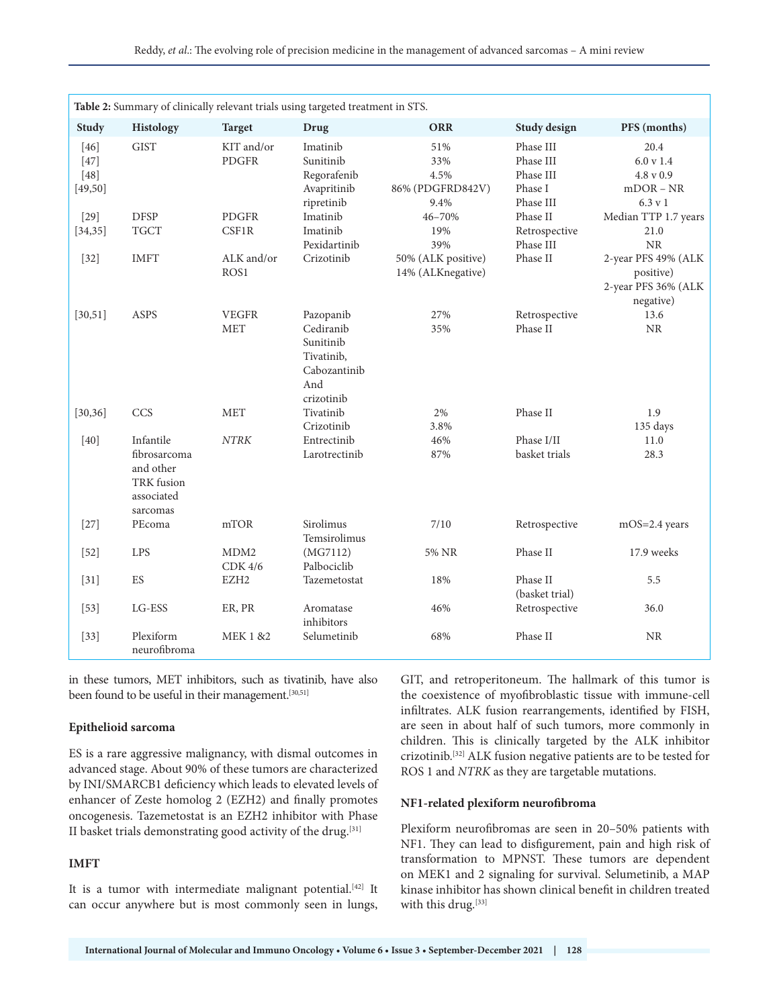| Table 2: Summary of clinically relevant trials using targeted treatment in STS. |                                                                                       |                                        |                                                                                        |                                                |                                                             |                                                                      |  |  |  |
|---------------------------------------------------------------------------------|---------------------------------------------------------------------------------------|----------------------------------------|----------------------------------------------------------------------------------------|------------------------------------------------|-------------------------------------------------------------|----------------------------------------------------------------------|--|--|--|
| <b>Study</b>                                                                    | Histology                                                                             | <b>Target</b>                          | Drug                                                                                   | <b>ORR</b>                                     | <b>Study design</b>                                         | PFS (months)                                                         |  |  |  |
| $[46]$<br>$[47]$<br>$[48]$<br>[49, 50]                                          | <b>GIST</b>                                                                           | KIT and/or<br><b>PDGFR</b>             | Imatinib<br>Sunitinib<br>Regorafenib<br>Avapritinib<br>ripretinib                      | 51%<br>33%<br>4.5%<br>86% (PDGFRD842V)<br>9.4% | Phase III<br>Phase III<br>Phase III<br>Phase I<br>Phase III | 20.4<br>6.0 v 1.4<br>4.8 v 0.9<br>$mDOR - NR$<br>$6.3 \text{ v}$ 1   |  |  |  |
| $[29]$<br>[34, 35]                                                              | <b>DFSP</b><br><b>TGCT</b>                                                            | <b>PDGFR</b><br>CSF1R                  | Imatinib<br>Imatinib<br>Pexidartinib                                                   | 46-70%<br>19%<br>39%                           | Phase II<br>Retrospective<br>Phase III                      | Median TTP 1.7 years<br>21.0<br><b>NR</b>                            |  |  |  |
| $[32]$                                                                          | <b>IMFT</b>                                                                           | ALK and/or<br>ROS1                     | Crizotinib                                                                             | 50% (ALK positive)<br>14% (ALKnegative)        | Phase II                                                    | 2-year PFS 49% (ALK<br>positive)<br>2-year PFS 36% (ALK<br>negative) |  |  |  |
| [30, 51]                                                                        | ASPS                                                                                  | <b>VEGFR</b><br><b>MET</b>             | Pazopanib<br>Cediranib<br>Sunitinib<br>Tivatinib,<br>Cabozantinib<br>And<br>crizotinib | 27%<br>35%                                     | Retrospective<br>Phase II                                   | 13.6<br><b>NR</b>                                                    |  |  |  |
| [30, 36]                                                                        | CCS                                                                                   | <b>MET</b>                             | Tivatinib<br>Crizotinib                                                                | 2%<br>3.8%                                     | Phase II                                                    | 1.9<br>135 days                                                      |  |  |  |
| $[40]$                                                                          | Infantile<br>fibrosarcoma<br>and other<br><b>TRK</b> fusion<br>associated<br>sarcomas | <b>NTRK</b>                            | Entrectinib<br>Larotrectinib                                                           | 46%<br>87%                                     | Phase I/II<br>basket trials                                 | 11.0<br>28.3                                                         |  |  |  |
| $[27]$                                                                          | PEcoma                                                                                | mTOR                                   | Sirolimus<br>Temsirolimus                                                              | 7/10                                           | Retrospective                                               | mOS=2.4 years                                                        |  |  |  |
| $[52]$                                                                          | <b>LPS</b>                                                                            | MDM <sub>2</sub><br>CDK <sub>4/6</sub> | (MG7112)<br>Palbociclib                                                                | 5% NR                                          | Phase II                                                    | 17.9 weeks                                                           |  |  |  |
| $[31]$                                                                          | ES                                                                                    | EZH <sub>2</sub>                       | Tazemetostat                                                                           | 18%                                            | Phase II<br>(basket trial)                                  | 5.5                                                                  |  |  |  |
| $[53]$                                                                          | LG-ESS                                                                                | ER, PR                                 | Aromatase<br>inhibitors                                                                | 46%                                            | Retrospective                                               | 36.0                                                                 |  |  |  |
| $[33]$                                                                          | Plexiform<br>neurofibroma                                                             | <b>MEK 1 &amp;2</b>                    | Selumetinib                                                                            | 68%                                            | Phase II                                                    | <b>NR</b>                                                            |  |  |  |

in these tumors, MET inhibitors, such as tivatinib, have also been found to be useful in their management.<sup>[30,51]</sup>

#### **Epithelioid sarcoma**

ES is a rare aggressive malignancy, with dismal outcomes in advanced stage. About 90% of these tumors are characterized by INI/SMARCB1 deficiency which leads to elevated levels of enhancer of Zeste homolog 2 (EZH2) and finally promotes oncogenesis. Tazemetostat is an EZH2 inhibitor with Phase II basket trials demonstrating good activity of the drug.  $\left[ 31\right]$ 

#### **IMFT**

It is a tumor with intermediate malignant potential.<sup>[42]</sup> It can occur anywhere but is most commonly seen in lungs, GIT, and retroperitoneum. The hallmark of this tumor is the coexistence of myofibroblastic tissue with immune-cell infiltrates. ALK fusion rearrangements, identified by FISH, are seen in about half of such tumors, more commonly in children. This is clinically targeted by the ALK inhibitor crizotinib.[32] ALK fusion negative patients are to be tested for ROS 1 and *NTRK* as they are targetable mutations.

#### **NF1-related plexiform neurofibroma**

Plexiform neurofibromas are seen in 20–50% patients with NF1. They can lead to disfigurement, pain and high risk of transformation to MPNST. These tumors are dependent on MEK1 and 2 signaling for survival. Selumetinib, a MAP kinase inhibitor has shown clinical benefit in children treated with this drug.[33]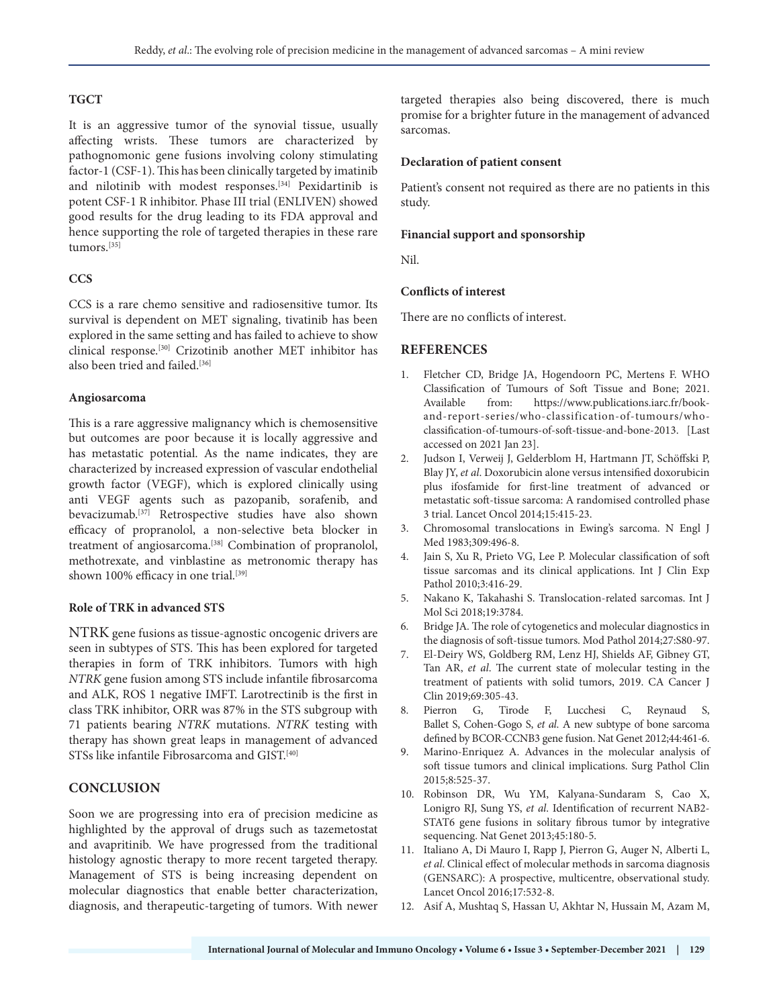#### **TGCT**

It is an aggressive tumor of the synovial tissue, usually affecting wrists. These tumors are characterized by pathognomonic gene fusions involving colony stimulating factor-1 (CSF-1). This has been clinically targeted by imatinib and nilotinib with modest responses.[34] Pexidartinib is potent CSF-1 R inhibitor. Phase III trial (ENLIVEN) showed good results for the drug leading to its FDA approval and hence supporting the role of targeted therapies in these rare tumors.[35]

#### **CCS**

CCS is a rare chemo sensitive and radiosensitive tumor. Its survival is dependent on MET signaling, tivatinib has been explored in the same setting and has failed to achieve to show clinical response.[30] Crizotinib another MET inhibitor has also been tried and failed.<sup>[36]</sup>

#### **Angiosarcoma**

This is a rare aggressive malignancy which is chemosensitive but outcomes are poor because it is locally aggressive and has metastatic potential. As the name indicates, they are characterized by increased expression of vascular endothelial growth factor (VEGF), which is explored clinically using anti VEGF agents such as pazopanib, sorafenib, and bevacizumab.[37] Retrospective studies have also shown efficacy of propranolol, a non-selective beta blocker in treatment of angiosarcoma.<sup>[38]</sup> Combination of propranolol, methotrexate, and vinblastine as metronomic therapy has shown 100% efficacy in one trial.<sup>[39]</sup>

#### **Role of TRK in advanced STS**

NTRK gene fusions as tissue-agnostic oncogenic drivers are seen in subtypes of STS. This has been explored for targeted therapies in form of TRK inhibitors. Tumors with high *NTRK* gene fusion among STS include infantile fibrosarcoma and ALK, ROS 1 negative IMFT. Larotrectinib is the first in class TRK inhibitor, ORR was 87% in the STS subgroup with 71 patients bearing *NTRK* mutations. *NTRK* testing with therapy has shown great leaps in management of advanced STSs like infantile Fibrosarcoma and GIST.[40]

#### **CONCLUSION**

Soon we are progressing into era of precision medicine as highlighted by the approval of drugs such as tazemetostat and avapritinib. We have progressed from the traditional histology agnostic therapy to more recent targeted therapy. Management of STS is being increasing dependent on molecular diagnostics that enable better characterization, diagnosis, and therapeutic-targeting of tumors. With newer targeted therapies also being discovered, there is much promise for a brighter future in the management of advanced sarcomas.

#### **Declaration of patient consent**

Patient's consent not required as there are no patients in this study.

#### **Financial support and sponsorship**

Nil.

#### **Conflicts of interest**

There are no conflicts of interest.

#### **REFERENCES**

- 1. Fletcher CD, Bridge JA, Hogendoorn PC, Mertens F. WHO Classification of Tumours of Soft Tissue and Bone; 2021. Available from: https://www.publications.iarc.fr/bookand-report-series/who-classification-of-tumours/whoclassification-of-tumours-of-soft-tissue-and-bone-2013. [Last accessed on 2021 Jan 23].
- 2. Judson I, Verweij J, Gelderblom H, Hartmann JT, Schöffski P, Blay JY, *et al*. Doxorubicin alone versus intensified doxorubicin plus ifosfamide for first-line treatment of advanced or metastatic soft-tissue sarcoma: A randomised controlled phase 3 trial. Lancet Oncol 2014;15:415-23.
- 3. Chromosomal translocations in Ewing's sarcoma. N Engl J Med 1983;309:496-8.
- Jain S, Xu R, Prieto VG, Lee P. Molecular classification of soft tissue sarcomas and its clinical applications. Int J Clin Exp Pathol 2010;3:416-29.
- 5. Nakano K, Takahashi S. Translocation-related sarcomas. Int J Mol Sci 2018;19:3784.
- 6. Bridge JA. The role of cytogenetics and molecular diagnostics in the diagnosis of soft-tissue tumors. Mod Pathol 2014;27:S80-97.
- 7. El‐Deiry WS, Goldberg RM, Lenz HJ, Shields AF, Gibney GT, Tan AR, *et al*. The current state of molecular testing in the treatment of patients with solid tumors, 2019. CA Cancer J Clin 2019;69:305-43.
- 8. Pierron G, Tirode F, Lucchesi C, Reynaud S, Ballet S, Cohen-Gogo S, *et al*. A new subtype of bone sarcoma defined by BCOR-CCNB3 gene fusion. Nat Genet 2012;44:461-6.
- 9. Marino-Enriquez A. Advances in the molecular analysis of soft tissue tumors and clinical implications. Surg Pathol Clin 2015;8:525-37.
- 10. Robinson DR, Wu YM, Kalyana-Sundaram S, Cao X, Lonigro RJ, Sung YS, *et al*. Identification of recurrent NAB2- STAT6 gene fusions in solitary fibrous tumor by integrative sequencing. Nat Genet 2013;45:180-5.
- 11. Italiano A, Di Mauro I, Rapp J, Pierron G, Auger N, Alberti L, *et al*. Clinical effect of molecular methods in sarcoma diagnosis (GENSARC): A prospective, multicentre, observational study. Lancet Oncol 2016;17:532-8.
- 12. Asif A, Mushtaq S, Hassan U, Akhtar N, Hussain M, Azam M,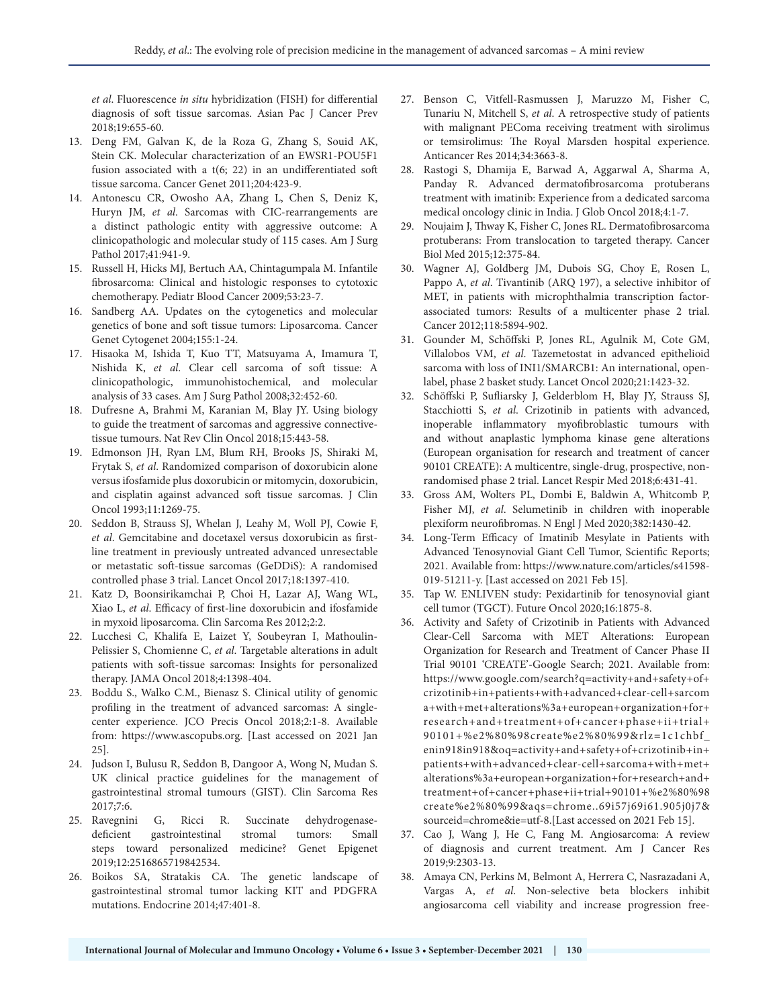*et al*. Fluorescence *in situ* hybridization (FISH) for differential diagnosis of soft tissue sarcomas. Asian Pac J Cancer Prev 2018;19:655-60.

- 13. Deng FM, Galvan K, de la Roza G, Zhang S, Souid AK, Stein CK. Molecular characterization of an EWSR1-POU5F1 fusion associated with a t(6; 22) in an undifferentiated soft tissue sarcoma. Cancer Genet 2011;204:423-9.
- 14. Antonescu CR, Owosho AA, Zhang L, Chen S, Deniz K, Huryn JM, *et al*. Sarcomas with CIC-rearrangements are a distinct pathologic entity with aggressive outcome: A clinicopathologic and molecular study of 115 cases. Am J Surg Pathol 2017;41:941-9.
- 15. Russell H, Hicks MJ, Bertuch AA, Chintagumpala M. Infantile fibrosarcoma: Clinical and histologic responses to cytotoxic chemotherapy. Pediatr Blood Cancer 2009;53:23-7.
- 16. Sandberg AA. Updates on the cytogenetics and molecular genetics of bone and soft tissue tumors: Liposarcoma. Cancer Genet Cytogenet 2004;155:1-24.
- 17. Hisaoka M, Ishida T, Kuo TT, Matsuyama A, Imamura T, Nishida K, *et al*. Clear cell sarcoma of soft tissue: A clinicopathologic, immunohistochemical, and molecular analysis of 33 cases. Am J Surg Pathol 2008;32:452-60.
- 18. Dufresne A, Brahmi M, Karanian M, Blay JY. Using biology to guide the treatment of sarcomas and aggressive connectivetissue tumours. Nat Rev Clin Oncol 2018;15:443-58.
- 19. Edmonson JH, Ryan LM, Blum RH, Brooks JS, Shiraki M, Frytak S, *et al*. Randomized comparison of doxorubicin alone versus ifosfamide plus doxorubicin or mitomycin, doxorubicin, and cisplatin against advanced soft tissue sarcomas. J Clin Oncol 1993;11:1269-75.
- 20. Seddon B, Strauss SJ, Whelan J, Leahy M, Woll PJ, Cowie F, *et al*. Gemcitabine and docetaxel versus doxorubicin as firstline treatment in previously untreated advanced unresectable or metastatic soft-tissue sarcomas (GeDDiS): A randomised controlled phase 3 trial. Lancet Oncol 2017;18:1397-410.
- 21. Katz D, Boonsirikamchai P, Choi H, Lazar AJ, Wang WL, Xiao L, *et al*. Efficacy of first-line doxorubicin and ifosfamide in myxoid liposarcoma. Clin Sarcoma Res 2012;2:2.
- 22. Lucchesi C, Khalifa E, Laizet Y, Soubeyran I, Mathoulin-Pelissier S, Chomienne C, *et al*. Targetable alterations in adult patients with soft-tissue sarcomas: Insights for personalized therapy. JAMA Oncol 2018;4:1398-404.
- 23. Boddu S., Walko C.M., Bienasz S. Clinical utility of genomic profiling in the treatment of advanced sarcomas: A singlecenter experience. JCO Precis Oncol 2018;2:1-8. Available from: https://www.ascopubs.org. [Last accessed on 2021 Jan 25].
- 24. Judson I, Bulusu R, Seddon B, Dangoor A, Wong N, Mudan S. UK clinical practice guidelines for the management of gastrointestinal stromal tumours (GIST). Clin Sarcoma Res 2017;7:6.
- 25. Ravegnini G, Ricci R. Succinate dehydrogenasedeficient gastrointestinal stromal tumors: Small steps toward personalized medicine? Genet Epigenet 2019;12:2516865719842534.
- 26. Boikos SA, Stratakis CA. The genetic landscape of gastrointestinal stromal tumor lacking KIT and PDGFRA mutations. Endocrine 2014;47:401-8.
- 27. Benson C, Vitfell-Rasmussen J, Maruzzo M, Fisher C, Tunariu N, Mitchell S, *et al*. A retrospective study of patients with malignant PEComa receiving treatment with sirolimus or temsirolimus: The Royal Marsden hospital experience. Anticancer Res 2014;34:3663-8.
- 28. Rastogi S, Dhamija E, Barwad A, Aggarwal A, Sharma A, Panday R. Advanced dermatofibrosarcoma protuberans treatment with imatinib: Experience from a dedicated sarcoma medical oncology clinic in India. J Glob Oncol 2018;4:1-7.
- 29. Noujaim J, Thway K, Fisher C, Jones RL. Dermatofibrosarcoma protuberans: From translocation to targeted therapy. Cancer Biol Med 2015;12:375-84.
- 30. Wagner AJ, Goldberg JM, Dubois SG, Choy E, Rosen L, Pappo A, *et al*. Tivantinib (ARQ 197), a selective inhibitor of MET, in patients with microphthalmia transcription factorassociated tumors: Results of a multicenter phase 2 trial. Cancer 2012;118:5894-902.
- 31. Gounder M, Schöffski P, Jones RL, Agulnik M, Cote GM, Villalobos VM, *et al*. Tazemetostat in advanced epithelioid sarcoma with loss of INI1/SMARCB1: An international, openlabel, phase 2 basket study. Lancet Oncol 2020;21:1423-32.
- 32. Schöffski P, Sufliarsky J, Gelderblom H, Blay JY, Strauss SJ, Stacchiotti S, *et al*. Crizotinib in patients with advanced, inoperable inflammatory myofibroblastic tumours with and without anaplastic lymphoma kinase gene alterations (European organisation for research and treatment of cancer 90101 CREATE): A multicentre, single-drug, prospective, nonrandomised phase 2 trial. Lancet Respir Med 2018;6:431-41.
- 33. Gross AM, Wolters PL, Dombi E, Baldwin A, Whitcomb P, Fisher MJ, *et al*. Selumetinib in children with inoperable plexiform neurofibromas. N Engl J Med 2020;382:1430-42.
- 34. Long-Term Efficacy of Imatinib Mesylate in Patients with Advanced Tenosynovial Giant Cell Tumor, Scientific Reports; 2021. Available from: https://www.nature.com/articles/s41598- 019-51211-y. [Last accessed on 2021 Feb 15].
- 35. Tap W. ENLIVEN study: Pexidartinib for tenosynovial giant cell tumor (TGCT). Future Oncol 2020;16:1875-8.
- 36. Activity and Safety of Crizotinib in Patients with Advanced Clear-Cell Sarcoma with MET Alterations: European Organization for Research and Treatment of Cancer Phase II Trial 90101 'CREATE'-Google Search; 2021. Available from: https://www.google.com/search?q=activity+and+safety+of+ crizotinib+in+patients+with+advanced+clear-cell+sarcom a+with+met+alterations%3a+european+organization+for+ research+and+treatment+of+cancer+phase+ii+trial+ 90101+%e2%80%98create%e2%80%99&rlz=1c1chbf\_ enin918in918&oq=activity+and+safety+of+crizotinib+in+ patients+with+advanced+clear-cell+sarcoma+with+met+ alterations%3a+european+organization+for+research+and+ treatment+of+cancer+phase+ii+trial+90101+%e2%80%98 create%e2%80%99&aqs=chrome..69i57j69i61.905j0j7& sourceid=chrome&ie=utf-8.[Last accessed on 2021 Feb 15].
- 37. Cao J, Wang J, He C, Fang M. Angiosarcoma: A review of diagnosis and current treatment. Am J Cancer Res 2019;9:2303-13.
- 38. Amaya CN, Perkins M, Belmont A, Herrera C, Nasrazadani A, Vargas A, *et al*. Non-selective beta blockers inhibit angiosarcoma cell viability and increase progression free-